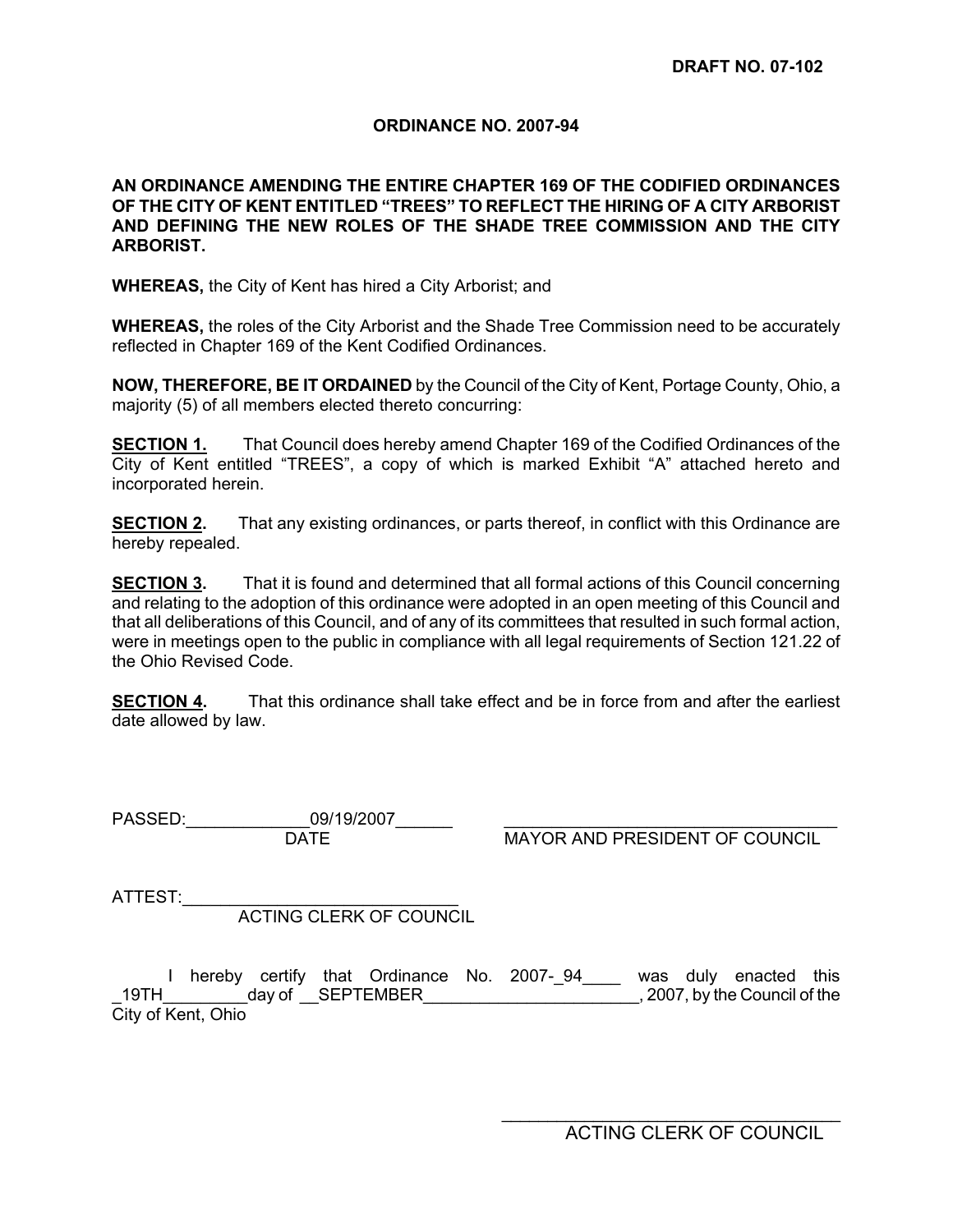# **ORDINANCE NO. 2007-94**

# **AN ORDINANCE AMENDING THE ENTIRE CHAPTER 169 OF THE CODIFIED ORDINANCES OF THE CITY OF KENT ENTITLED "TREES" TO REFLECT THE HIRING OF A CITY ARBORIST AND DEFINING THE NEW ROLES OF THE SHADE TREE COMMISSION AND THE CITY ARBORIST.**

**WHEREAS,** the City of Kent has hired a City Arborist; and

**WHEREAS,** the roles of the City Arborist and the Shade Tree Commission need to be accurately reflected in Chapter 169 of the Kent Codified Ordinances.

**NOW, THEREFORE, BE IT ORDAINED** by the Council of the City of Kent, Portage County, Ohio, a majority (5) of all members elected thereto concurring:

**SECTION 1.** That Council does hereby amend Chapter 169 of the Codified Ordinances of the City of Kent entitled "TREES", a copy of which is marked Exhibit "A" attached hereto and incorporated herein.

**SECTION 2.** That any existing ordinances, or parts thereof, in conflict with this Ordinance are hereby repealed.

**SECTION 3.** That it is found and determined that all formal actions of this Council concerning and relating to the adoption of this ordinance were adopted in an open meeting of this Council and that all deliberations of this Council, and of any of its committees that resulted in such formal action, were in meetings open to the public in compliance with all legal requirements of Section 121.22 of the Ohio Revised Code.

**SECTION 4.** That this ordinance shall take effect and be in force from and after the earliest date allowed by law.

PASSED:\_\_\_\_\_\_\_\_\_\_\_\_\_09/19/2007\_\_\_\_\_\_ \_\_\_\_\_\_\_\_\_\_\_\_\_\_\_\_\_\_\_\_\_\_\_\_\_\_\_\_\_\_\_\_\_\_\_ DATE **Example 20 MAYOR AND PRESIDENT OF COUNCIL** 

ATTEST:

ACTING CLERK OF COUNCIL

I hereby certify that Ordinance No. 2007-04 was duly enacted this \_19TH\_\_\_\_\_\_\_\_\_day of \_\_SEPTEMBER\_\_\_\_\_\_\_\_\_\_\_\_\_\_\_\_\_\_\_\_\_\_\_, 2007, by the Council of the City of Kent, Ohio

 $\frac{1}{2}$  ,  $\frac{1}{2}$  ,  $\frac{1}{2}$  ,  $\frac{1}{2}$  ,  $\frac{1}{2}$  ,  $\frac{1}{2}$  ,  $\frac{1}{2}$  ,  $\frac{1}{2}$  ,  $\frac{1}{2}$  ,  $\frac{1}{2}$  ,  $\frac{1}{2}$  ,  $\frac{1}{2}$  ,  $\frac{1}{2}$  ,  $\frac{1}{2}$  ,  $\frac{1}{2}$  ,  $\frac{1}{2}$  ,  $\frac{1}{2}$  ,  $\frac{1}{2}$  ,  $\frac{1$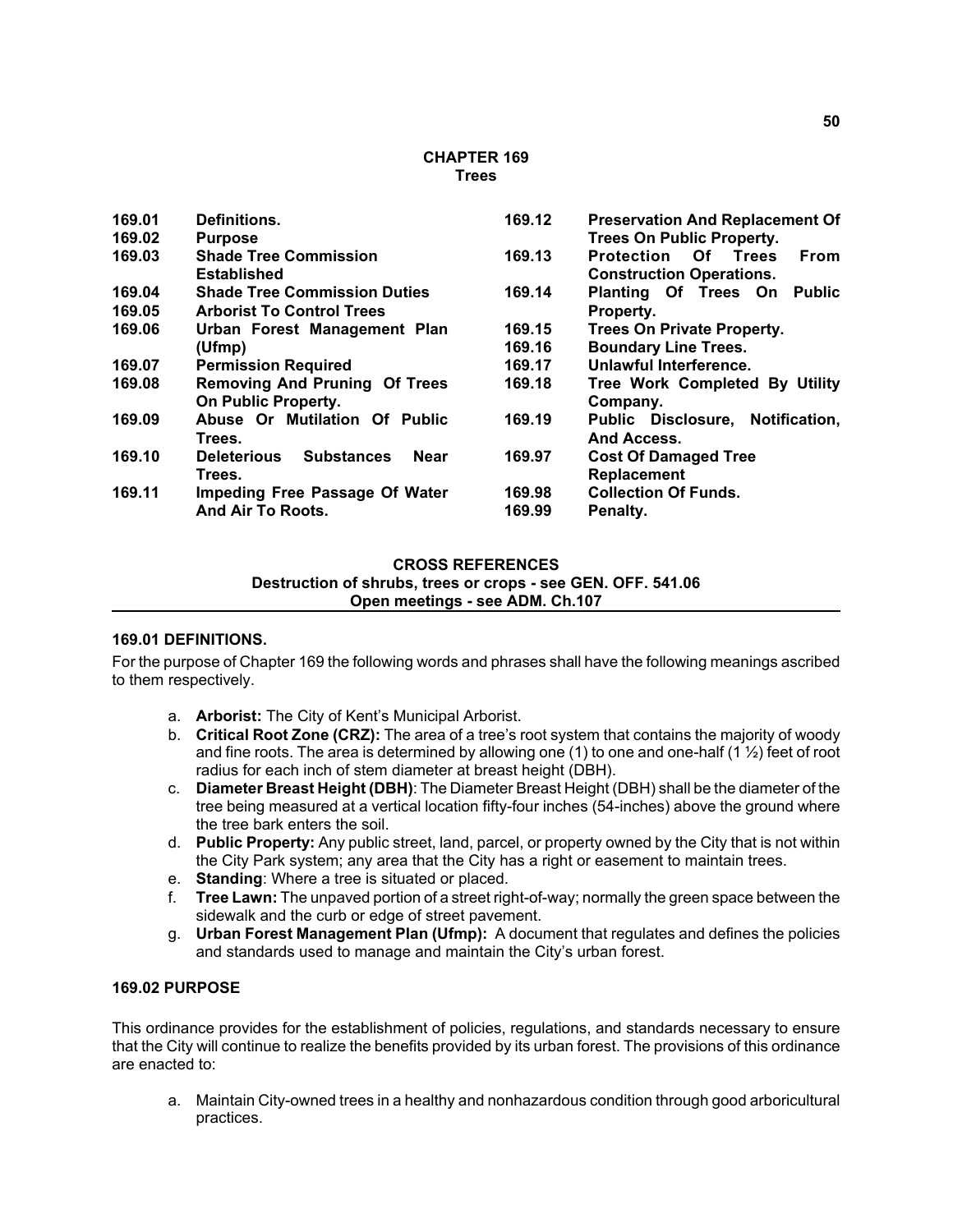#### **CHAPTER 169 Trees**

| 169.01 | Definitions.                                    | 169.12 | <b>Preservation And Replacement Of</b> |  |  |
|--------|-------------------------------------------------|--------|----------------------------------------|--|--|
| 169.02 | <b>Purpose</b>                                  |        | <b>Trees On Public Property.</b>       |  |  |
| 169.03 | <b>Shade Tree Commission</b>                    | 169.13 | <b>Protection Of Trees</b><br>From     |  |  |
|        | <b>Established</b>                              |        | <b>Construction Operations.</b>        |  |  |
| 169.04 | <b>Shade Tree Commission Duties</b>             | 169.14 | Planting Of Trees On<br>Public         |  |  |
| 169.05 | <b>Arborist To Control Trees</b>                |        | Property.                              |  |  |
| 169.06 | Urban Forest Management Plan                    | 169.15 | <b>Trees On Private Property.</b>      |  |  |
|        | (Ufmp)                                          | 169.16 | <b>Boundary Line Trees.</b>            |  |  |
| 169.07 | <b>Permission Required</b>                      | 169.17 | Unlawful Interference.                 |  |  |
| 169.08 | <b>Removing And Pruning Of Trees</b>            | 169.18 | Tree Work Completed By Utility         |  |  |
|        | On Public Property.                             |        | Company.                               |  |  |
| 169.09 | Abuse Or Mutilation Of Public                   | 169.19 | Public Disclosure, Notification,       |  |  |
|        | Trees.                                          |        | And Access.                            |  |  |
| 169.10 | <b>Substances</b><br><b>Near</b><br>Deleterious | 169.97 | <b>Cost Of Damaged Tree</b>            |  |  |
|        | Trees.                                          |        | Replacement                            |  |  |
| 169.11 | <b>Impeding Free Passage Of Water</b>           | 169.98 | <b>Collection Of Funds.</b>            |  |  |
|        | And Air To Roots.                               | 169.99 | Penalty.                               |  |  |

#### **CROSS REFERENCES**

**Destruction of shrubs, trees or crops - see GEN. OFF. 541.06**

**Open meetings - see ADM. Ch.107**

#### **169.01 DEFINITIONS.**

For the purpose of Chapter 169 the following words and phrases shall have the following meanings ascribed to them respectively.

- a. **Arborist:** The City of Kent's Municipal Arborist.
- b. **Critical Root Zone (CRZ):** The area of a tree's root system that contains the majority of woody and fine roots. The area is determined by allowing one (1) to one and one-half (1 ½) feet of root radius for each inch of stem diameter at breast height (DBH).
- c. **Diameter Breast Height (DBH)**: The Diameter Breast Height (DBH) shall be the diameter of the tree being measured at a vertical location fifty-four inches (54-inches) above the ground where the tree bark enters the soil.
- d. **Public Property:** Any public street, land, parcel, or property owned by the City that is not within the City Park system; any area that the City has a right or easement to maintain trees.
- e. **Standing**: Where a tree is situated or placed.
- f. **Tree Lawn:** The unpaved portion of a street right-of-way; normally the green space between the sidewalk and the curb or edge of street pavement.
- g. **Urban Forest Management Plan (Ufmp):** A document that regulates and defines the policies and standards used to manage and maintain the City's urban forest.

### **169.02 PURPOSE**

This ordinance provides for the establishment of policies, regulations, and standards necessary to ensure that the City will continue to realize the benefits provided by its urban forest. The provisions of this ordinance are enacted to:

a. Maintain City-owned trees in a healthy and nonhazardous condition through good arboricultural practices.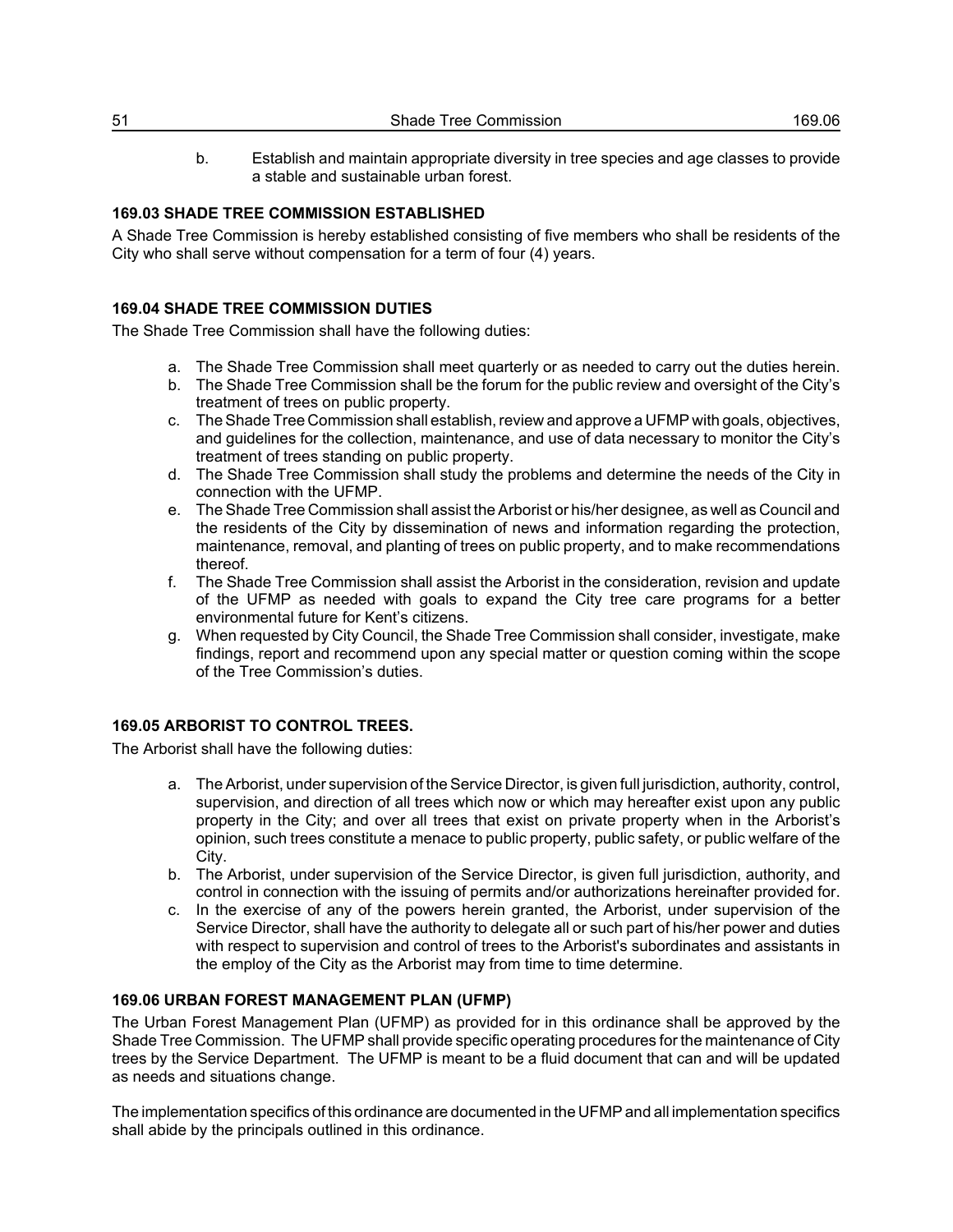b. Establish and maintain appropriate diversity in tree species and age classes to provide a stable and sustainable urban forest.

# **169.03 SHADE TREE COMMISSION ESTABLISHED**

A Shade Tree Commission is hereby established consisting of five members who shall be residents of the City who shall serve without compensation for a term of four (4) years.

# **169.04 SHADE TREE COMMISSION DUTIES**

The Shade Tree Commission shall have the following duties:

- a. The Shade Tree Commission shall meet quarterly or as needed to carry out the duties herein.
- b. The Shade Tree Commission shall be the forum for the public review and oversight of the City's treatment of trees on public property.
- c. The Shade Tree Commission shall establish, review and approve a UFMP with goals, objectives, and guidelines for the collection, maintenance, and use of data necessary to monitor the City's treatment of trees standing on public property.
- d. The Shade Tree Commission shall study the problems and determine the needs of the City in connection with the UFMP.
- e. The Shade Tree Commission shall assist the Arborist or his/her designee, as well as Council and the residents of the City by dissemination of news and information regarding the protection, maintenance, removal, and planting of trees on public property, and to make recommendations thereof.
- f. The Shade Tree Commission shall assist the Arborist in the consideration, revision and update of the UFMP as needed with goals to expand the City tree care programs for a better environmental future for Kent's citizens.
- g. When requested by City Council, the Shade Tree Commission shall consider, investigate, make findings, report and recommend upon any special matter or question coming within the scope of the Tree Commission's duties.

# **169.05 ARBORIST TO CONTROL TREES.**

The Arborist shall have the following duties:

- a. The Arborist, under supervision of the Service Director, is given full jurisdiction, authority, control, supervision, and direction of all trees which now or which may hereafter exist upon any public property in the City; and over all trees that exist on private property when in the Arborist's opinion, such trees constitute a menace to public property, public safety, or public welfare of the City.
- b. The Arborist, under supervision of the Service Director, is given full jurisdiction, authority, and control in connection with the issuing of permits and/or authorizations hereinafter provided for.
- c. In the exercise of any of the powers herein granted, the Arborist, under supervision of the Service Director, shall have the authority to delegate all or such part of his/her power and duties with respect to supervision and control of trees to the Arborist's subordinates and assistants in the employ of the City as the Arborist may from time to time determine.

# **169.06 URBAN FOREST MANAGEMENT PLAN (UFMP)**

The Urban Forest Management Plan (UFMP) as provided for in this ordinance shall be approved by the Shade Tree Commission. The UFMP shall provide specific operating procedures for the maintenance of City trees by the Service Department. The UFMP is meant to be a fluid document that can and will be updated as needs and situations change.

The implementation specifics of this ordinance are documented in the UFMP and all implementation specifics shall abide by the principals outlined in this ordinance.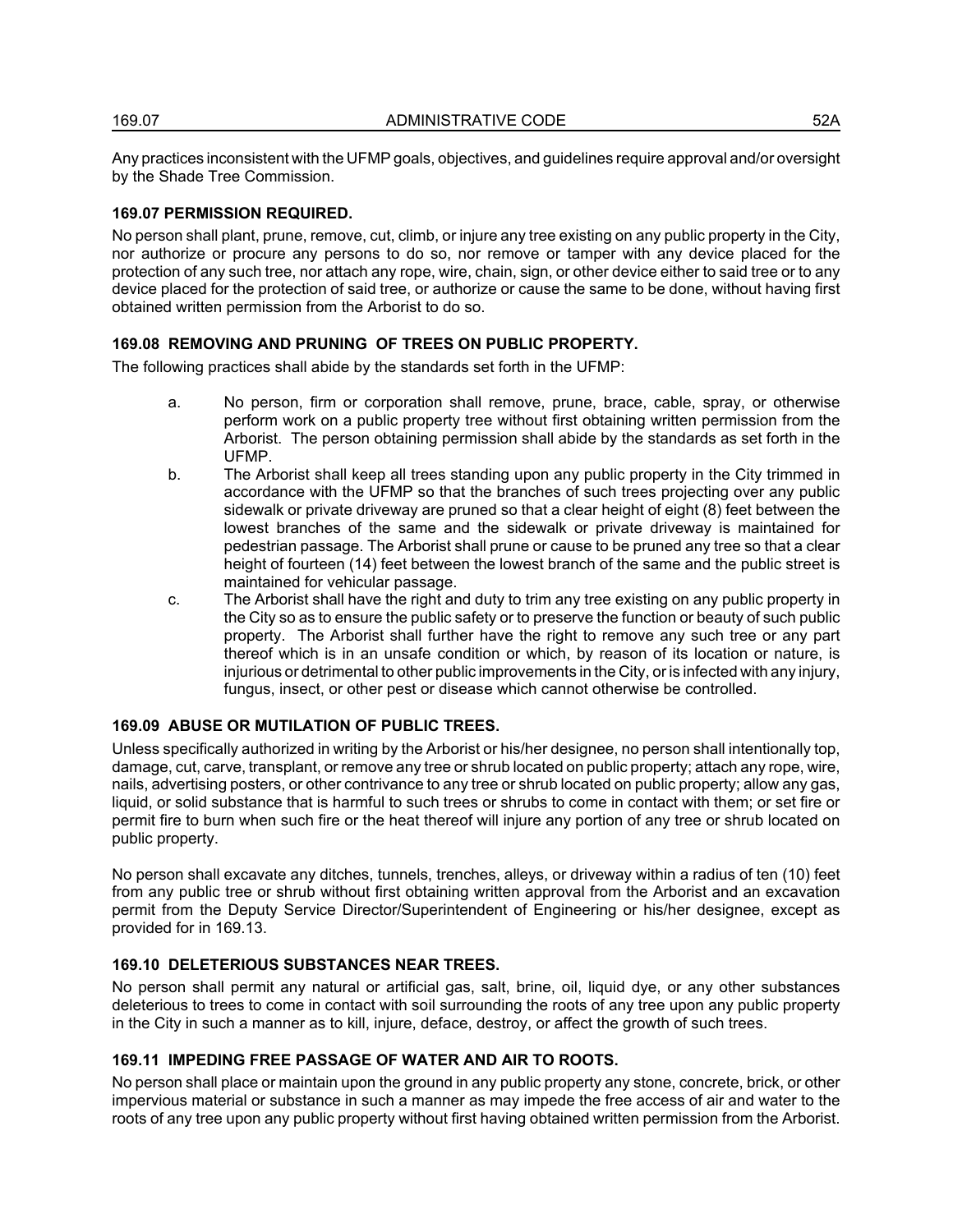Any practices inconsistent with the UFMP goals, objectives, and guidelines require approval and/or oversight by the Shade Tree Commission.

#### **169.07 PERMISSION REQUIRED.**

No person shall plant, prune, remove, cut, climb, or injure any tree existing on any public property in the City, nor authorize or procure any persons to do so, nor remove or tamper with any device placed for the protection of any such tree, nor attach any rope, wire, chain, sign, or other device either to said tree or to any device placed for the protection of said tree, or authorize or cause the same to be done, without having first obtained written permission from the Arborist to do so.

# **169.08 REMOVING AND PRUNING OF TREES ON PUBLIC PROPERTY.**

The following practices shall abide by the standards set forth in the UFMP:

- a. No person, firm or corporation shall remove, prune, brace, cable, spray, or otherwise perform work on a public property tree without first obtaining written permission from the Arborist. The person obtaining permission shall abide by the standards as set forth in the UFMP.
- b. The Arborist shall keep all trees standing upon any public property in the City trimmed in accordance with the UFMP so that the branches of such trees projecting over any public sidewalk or private driveway are pruned so that a clear height of eight (8) feet between the lowest branches of the same and the sidewalk or private driveway is maintained for pedestrian passage. The Arborist shall prune or cause to be pruned any tree so that a clear height of fourteen (14) feet between the lowest branch of the same and the public street is maintained for vehicular passage.
- c. The Arborist shall have the right and duty to trim any tree existing on any public property in the City so as to ensure the public safety or to preserve the function or beauty of such public property. The Arborist shall further have the right to remove any such tree or any part thereof which is in an unsafe condition or which, by reason of its location or nature, is injurious or detrimental to other public improvements in the City, or is infected with any injury, fungus, insect, or other pest or disease which cannot otherwise be controlled.

#### **169.09 ABUSE OR MUTILATION OF PUBLIC TREES.**

Unless specifically authorized in writing by the Arborist or his/her designee, no person shall intentionally top, damage, cut, carve, transplant, or remove any tree or shrub located on public property; attach any rope, wire, nails, advertising posters, or other contrivance to any tree or shrub located on public property; allow any gas, liquid, or solid substance that is harmful to such trees or shrubs to come in contact with them; or set fire or permit fire to burn when such fire or the heat thereof will injure any portion of any tree or shrub located on public property.

No person shall excavate any ditches, tunnels, trenches, alleys, or driveway within a radius of ten (10) feet from any public tree or shrub without first obtaining written approval from the Arborist and an excavation permit from the Deputy Service Director/Superintendent of Engineering or his/her designee, except as provided for in 169.13.

#### **169.10 DELETERIOUS SUBSTANCES NEAR TREES.**

No person shall permit any natural or artificial gas, salt, brine, oil, liquid dye, or any other substances deleterious to trees to come in contact with soil surrounding the roots of any tree upon any public property in the City in such a manner as to kill, injure, deface, destroy, or affect the growth of such trees.

#### **169.11 IMPEDING FREE PASSAGE OF WATER AND AIR TO ROOTS.**

No person shall place or maintain upon the ground in any public property any stone, concrete, brick, or other impervious material or substance in such a manner as may impede the free access of air and water to the roots of any tree upon any public property without first having obtained written permission from the Arborist.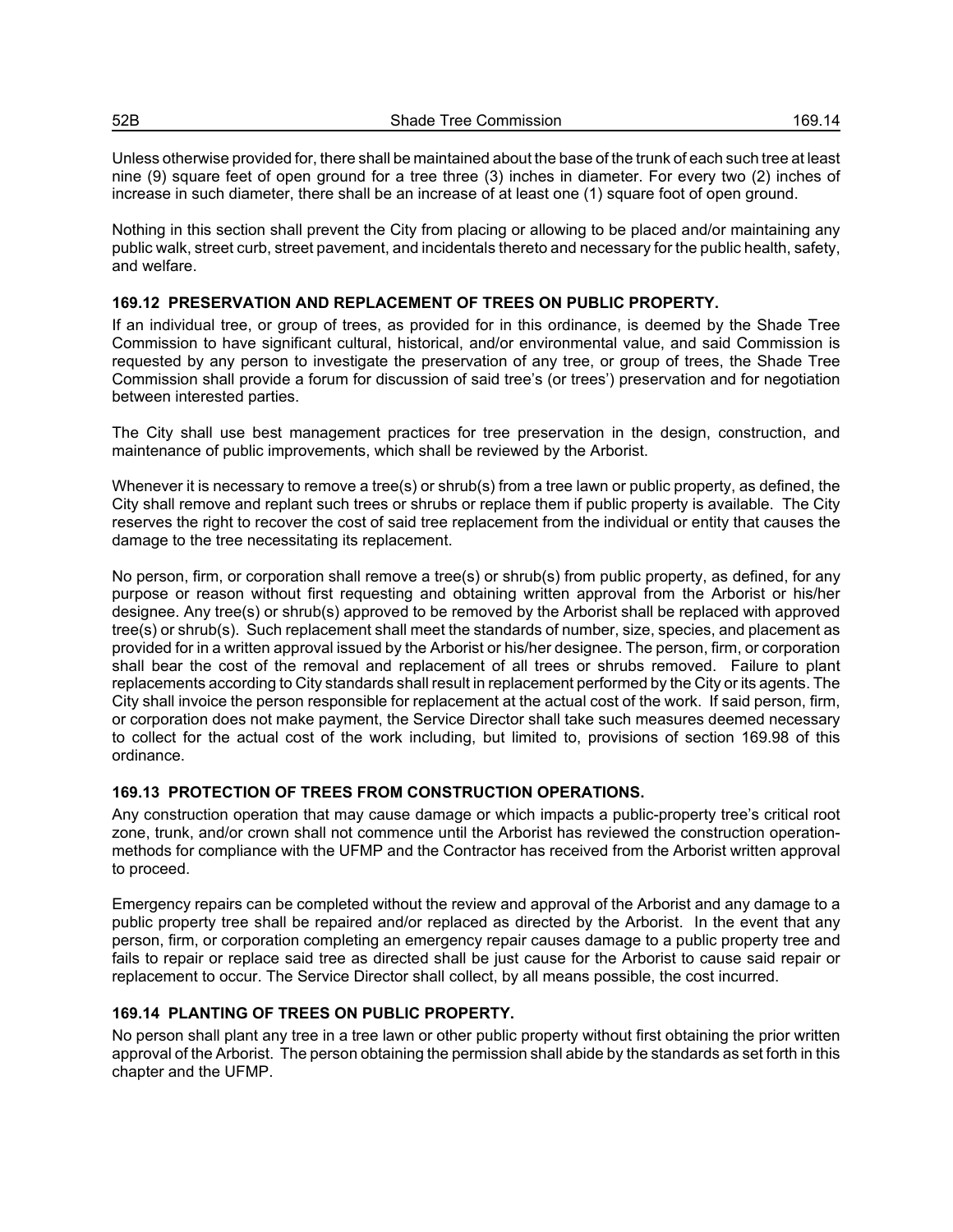Unless otherwise provided for, there shall be maintained about the base of the trunk of each such tree at least nine (9) square feet of open ground for a tree three (3) inches in diameter. For every two (2) inches of increase in such diameter, there shall be an increase of at least one (1) square foot of open ground.

Nothing in this section shall prevent the City from placing or allowing to be placed and/or maintaining any public walk, street curb, street pavement, and incidentals thereto and necessary for the public health, safety, and welfare.

## **169.12 PRESERVATION AND REPLACEMENT OF TREES ON PUBLIC PROPERTY.**

If an individual tree, or group of trees, as provided for in this ordinance, is deemed by the Shade Tree Commission to have significant cultural, historical, and/or environmental value, and said Commission is requested by any person to investigate the preservation of any tree, or group of trees, the Shade Tree Commission shall provide a forum for discussion of said tree's (or trees') preservation and for negotiation between interested parties.

The City shall use best management practices for tree preservation in the design, construction, and maintenance of public improvements, which shall be reviewed by the Arborist.

Whenever it is necessary to remove a tree(s) or shrub(s) from a tree lawn or public property, as defined, the City shall remove and replant such trees or shrubs or replace them if public property is available. The City reserves the right to recover the cost of said tree replacement from the individual or entity that causes the damage to the tree necessitating its replacement.

No person, firm, or corporation shall remove a tree(s) or shrub(s) from public property, as defined, for any purpose or reason without first requesting and obtaining written approval from the Arborist or his/her designee. Any tree(s) or shrub(s) approved to be removed by the Arborist shall be replaced with approved tree(s) or shrub(s). Such replacement shall meet the standards of number, size, species, and placement as provided for in a written approval issued by the Arborist or his/her designee. The person, firm, or corporation shall bear the cost of the removal and replacement of all trees or shrubs removed. Failure to plant replacements according to City standards shall result in replacement performed by the City or its agents. The City shall invoice the person responsible for replacement at the actual cost of the work. If said person, firm, or corporation does not make payment, the Service Director shall take such measures deemed necessary to collect for the actual cost of the work including, but limited to, provisions of section 169.98 of this ordinance.

# **169.13 PROTECTION OF TREES FROM CONSTRUCTION OPERATIONS.**

Any construction operation that may cause damage or which impacts a public-property tree's critical root zone, trunk, and/or crown shall not commence until the Arborist has reviewed the construction operationmethods for compliance with the UFMP and the Contractor has received from the Arborist written approval to proceed.

Emergency repairs can be completed without the review and approval of the Arborist and any damage to a public property tree shall be repaired and/or replaced as directed by the Arborist. In the event that any person, firm, or corporation completing an emergency repair causes damage to a public property tree and fails to repair or replace said tree as directed shall be just cause for the Arborist to cause said repair or replacement to occur. The Service Director shall collect, by all means possible, the cost incurred.

# **169.14 PLANTING OF TREES ON PUBLIC PROPERTY.**

No person shall plant any tree in a tree lawn or other public property without first obtaining the prior written approval of the Arborist. The person obtaining the permission shall abide by the standards as set forth in this chapter and the UFMP.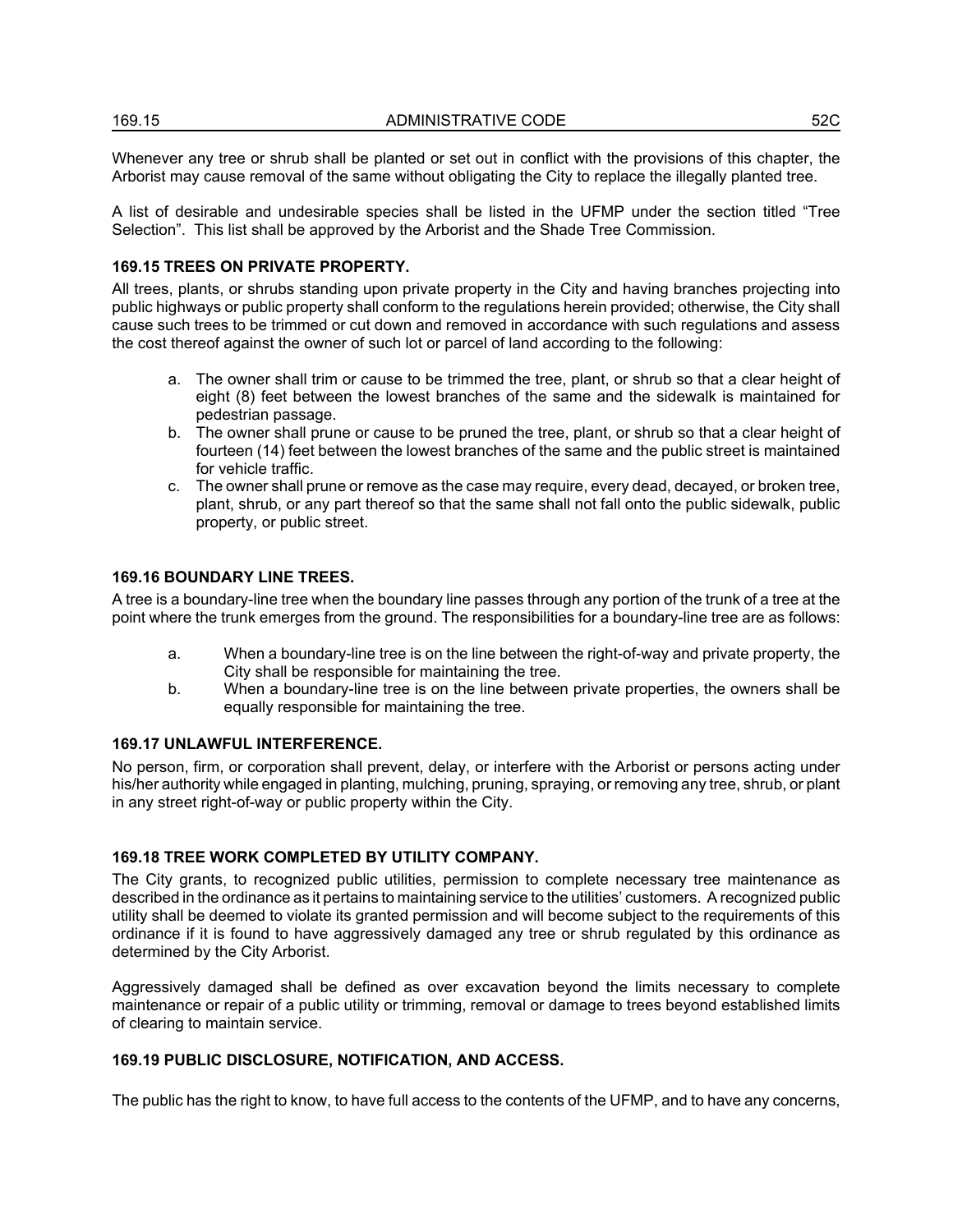| 169.15 | ADMINISTRATIVE CODE | -00<br>52C |
|--------|---------------------|------------|
|        |                     |            |

Whenever any tree or shrub shall be planted or set out in conflict with the provisions of this chapter, the Arborist may cause removal of the same without obligating the City to replace the illegally planted tree.

A list of desirable and undesirable species shall be listed in the UFMP under the section titled "Tree Selection". This list shall be approved by the Arborist and the Shade Tree Commission.

### **169.15 TREES ON PRIVATE PROPERTY.**

All trees, plants, or shrubs standing upon private property in the City and having branches projecting into public highways or public property shall conform to the regulations herein provided; otherwise, the City shall cause such trees to be trimmed or cut down and removed in accordance with such regulations and assess the cost thereof against the owner of such lot or parcel of land according to the following:

- a. The owner shall trim or cause to be trimmed the tree, plant, or shrub so that a clear height of eight (8) feet between the lowest branches of the same and the sidewalk is maintained for pedestrian passage.
- b. The owner shall prune or cause to be pruned the tree, plant, or shrub so that a clear height of fourteen (14) feet between the lowest branches of the same and the public street is maintained for vehicle traffic.
- c. The owner shall prune or remove as the case may require, every dead, decayed, or broken tree, plant, shrub, or any part thereof so that the same shall not fall onto the public sidewalk, public property, or public street.

## **169.16 BOUNDARY LINE TREES.**

A tree is a boundary-line tree when the boundary line passes through any portion of the trunk of a tree at the point where the trunk emerges from the ground. The responsibilities for a boundary-line tree are as follows:

- a. When a boundary-line tree is on the line between the right-of-way and private property, the City shall be responsible for maintaining the tree.
- b. When a boundary-line tree is on the line between private properties, the owners shall be equally responsible for maintaining the tree.

## **169.17 UNLAWFUL INTERFERENCE.**

No person, firm, or corporation shall prevent, delay, or interfere with the Arborist or persons acting under his/her authority while engaged in planting, mulching, pruning, spraying, or removing any tree, shrub, or plant in any street right-of-way or public property within the City.

#### **169.18 TREE WORK COMPLETED BY UTILITY COMPANY.**

The City grants, to recognized public utilities, permission to complete necessary tree maintenance as described in the ordinance as it pertains to maintaining service to the utilities' customers. A recognized public utility shall be deemed to violate its granted permission and will become subject to the requirements of this ordinance if it is found to have aggressively damaged any tree or shrub regulated by this ordinance as determined by the City Arborist.

Aggressively damaged shall be defined as over excavation beyond the limits necessary to complete maintenance or repair of a public utility or trimming, removal or damage to trees beyond established limits of clearing to maintain service.

#### **169.19 PUBLIC DISCLOSURE, NOTIFICATION, AND ACCESS.**

The public has the right to know, to have full access to the contents of the UFMP, and to have any concerns,